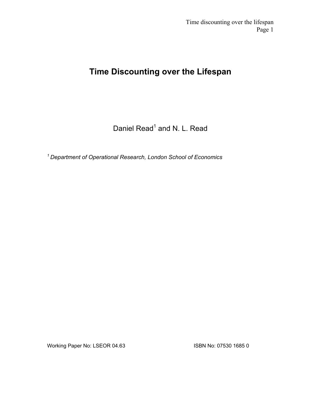# **Time Discounting over the Lifespan**

Daniel Read<sup>1</sup> and N. L. Read

*1 Department of Operational Research, London School of Economics* 

Working Paper No: LSEOR 04.63 ISBN No: 07530 1685 0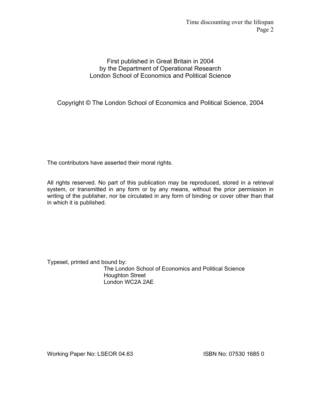### First published in Great Britain in 2004 by the Department of Operational Research London School of Economics and Political Science

Copyright © The London School of Economics and Political Science, 2004

The contributors have asserted their moral rights.

All rights reserved. No part of this publication may be reproduced, stored in a retrieval system, or transmitted in any form or by any means, without the prior permission in writing of the publisher, nor be circulated in any form of binding or cover other than that in which it is published.

Typeset, printed and bound by: The London School of Economics and Political Science Houghton Street London WC2A 2AE

Working Paper No: LSEOR 04.63 ISBN No: 07530 1685 0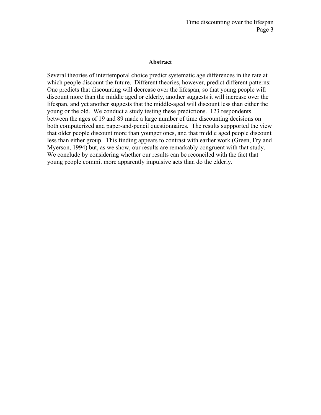### **Abstract**

Several theories of intertemporal choice predict systematic age differences in the rate at which people discount the future. Different theories, however, predict different patterns: One predicts that discounting will decrease over the lifespan, so that young people will discount more than the middle aged or elderly, another suggests it will increase over the lifespan, and yet another suggests that the middle-aged will discount less than either the young or the old. We conduct a study testing these predictions. 123 respondents between the ages of 19 and 89 made a large number of time discounting decisions on both computerized and paper-and-pencil questionnaires. The results suppported the view that older people discount more than younger ones, and that middle aged people discount less than either group. This finding appears to contrast with earlier work (Green, Fry and Myerson, 1994) but, as we show, our results are remarkably congruent with that study. We conclude by considering whether our results can be reconciled with the fact that young people commit more apparently impulsive acts than do the elderly.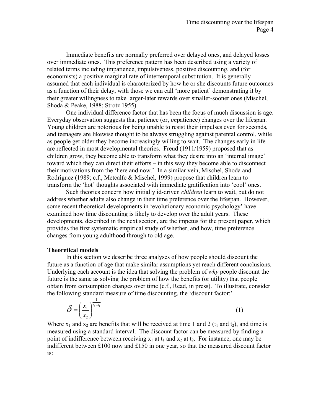Immediate benefits are normally preferred over delayed ones, and delayed losses over immediate ones. This preference pattern has been described using a variety of related terms including impatience, impulsiveness, positive discounting, and (for economists) a positive marginal rate of intertemporal substitution. It is generally assumed that each individual is characterized by how he or she discounts future outcomes as a function of their delay, with those we can call 'more patient' demonstrating it by their greater willingness to take larger-later rewards over smaller-sooner ones (Mischel, Shoda & Peake, 1988; Strotz 1955).

One individual difference factor that has been the focus of much discussion is age. Everyday observation suggests that patience (or, *im*patience) changes over the lifespan. Young children are notorious for being unable to resist their impulses even for seconds, and teenagers are likewise thought to be always struggling against parental control, while as people get older they become increasingly willing to wait. The changes early in life are reflected in most developmental theories. Freud (1911/1959) proposed that as children grow, they become able to transform what they desire into an 'internal image' toward which they can direct their efforts – in this way they become able to disconnect their motivations from the 'here and now.' In a similar vein, Mischel, Shoda and Rodriguez (1989; c.f., Metcalfe & Mischel, 1999) propose that children learn to transform the 'hot' thoughts associated with immediate gratification into 'cool' ones.

Such theories concern how initially id-driven *children* learn to wait, but do not address whether adults also change in their time preference over the lifespan. However, some recent theoretical developments in 'evolutionary economic psychology' have examined how time discounting is likely to develop over the adult years. These developments, described in the next section, are the impetus for the present paper, which provides the first systematic empirical study of whether, and how, time preference changes from young adulthood through to old age.

### **Theoretical models**

In this section we describe three analyses of how people should discount the future as a function of age that make similar assumptions yet reach different conclusions. Underlying each account is the idea that solving the problem of *why* people discount the future is the same as solving the problem of how the benefits (or utility) that people obtain from consumption changes over time (c.f., Read, in press). To illustrate, consider the following standard measure of time discounting, the 'discount factor:'

$$
\delta = \left(\frac{x_1}{x_2}\right)^{\frac{1}{t_2 - t_1}}\tag{1}
$$

Where  $x_1$  and  $x_2$  are benefits that will be received at time 1 and 2 ( $t_1$  and  $t_2$ ), and time is measured using a standard interval. The discount factor can be measured by finding a point of indifference between receiving  $x_1$  at  $t_1$  and  $x_2$  at  $t_2$ . For instance, one may be indifferent between £100 now and £150 in one year, so that the measured discount factor is: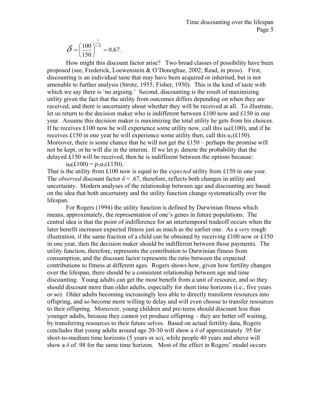$$
\delta = \left(\frac{100}{150}\right)^{\frac{1}{1-0}} = 0.67.
$$

How might this discount factor arise? Two broad classes of possibility have been proposed (see, Frederick, Loewenstein & O'Donoghue, 2002; Read, in press). First, discounting is an individual taste that may have been acquired or inherited, but is not amenable to further analysis (Strotz, 1955; Fisher, 1930). This is the kind of taste with which we say there is 'no arguing.' Second, discounting is the result of maximizing utility given the fact that the utility from outcomes differs depending on when they are received, and there is uncertainty about whether they will be received at all. To illustrate, let us return to the decision maker who is indifferent between £100 now and £150 in one year. Assume this decision maker is maximizing the total utility he gets from his choices. If he receives £100 now he will experience some utility now, call this  $u_0(\text{\pounds}100)$ , and if he receives £150 in one year he will experience some utility then, call this  $u_1(\text{\textsterling}150)$ . Moreover, there is some chance that he will not get the £150 – perhaps the promise will not be kept, or he will die in the interim. If we let  $p_1$  denote the probability that the delayed £150 will be received, then he is indifferent between the options because:

 $u_0(\text{\pounds}100) = p_1u_1(\text{\pounds}150).$ 

That is the utility from £100 now is equal to the *expected* utility from £150 in one year. The *observed* discount factor  $\delta$  = .67, therefore, reflects both changes in utility and uncertainty. Modern analyses of the relationship between age and discounting are based on the idea that both uncertainty and the utility function change systematically over the lifespan.

For Rogers (1994) the utility function is defined by Darwinian fitness which means, approximately, the representation of one's genes in future populations. The central idea is that the point of indifference for an intertemporal tradeoff occurs when the later benefit increases expected fitness just as much as the earlier one. As a *very* rough illustration, if the same fraction of a child can be obtained by receiving £100 now or £150 in one year, then the decision maker should be indifferent between those payments. The utility function, therefore, represents the contribution to Darwinian fitness from consumption, and the discount factor represents the ratio between the expected contributions to fitness at different ages. Rogers shows how, given how fertility changes over the lifespan, there should be a consistent relationship between age and time discounting. Young adults can get the most benefit from a unit of resource, and so they should discount more than older adults, especially for short time horizons (i.e., five years or so). Older adults becoming increasingly less able to directly transform resources into offspring, and so become more willing to delay and will even choose to transfer resources to their offspring. Moreover, young children and pre-teens should discount less than younger adults, because they cannot yet produce offspring – they are better off waiting, by transferring resources to their future selves. Based on actual fertility data, Rogers concludes that young adults around age 20-30 will show a *δ* of approximately .95 for short-to-medium time horizons (5 years or so), while people 40 years and above will show a  $\delta$  of .98 for the same time horizon. Most of the effect in Rogers' model occurs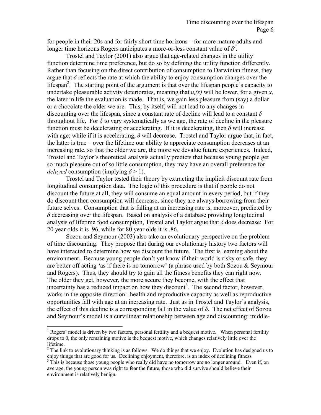for people in their 20s and for fairly short time horizons – for more mature adults and longer time horizons Rogers anticipates a more-or-less constant value of  $\delta^1$  $\delta^1$ .

 Trostel and Taylor (2001) also argue that age-related changes in the utility function determine time preference, but do so by defining the utility function differently. Rather than focusing on the direct contribution of consumption to Darwinian fitness, they argue that  $\delta$  reflects the rate at which the ability to enjoy consumption changes over the lifespan<sup>2</sup>. The starting point of the argument is that over the lifespan people's capacity to undertake pleasurable activity deteriorates, meaning that  $u_i(x)$  will be lower, for a given *x*, the later in life the evaluation is made. That is, we gain less pleasure from (say) a dollar or a chocolate the older we are. This, by itself, will not lead to any changes in discounting over the lifespan, since a constant rate of decline will lead to a constant *δ* throughout life. For  $\delta$  to vary systematically as we age, the rate of decline in the pleasure function must be decelerating or accelerating. If it is decelerating, then  $\delta$  will increase with age; while if it is accelerating,  $\delta$  will decrease. Trostel and Taylor argue that, in fact, the latter is true – over the lifetime our ability to appreciate consumption decreases at an increasing rate, so that the older we are, the more we devalue future experiences. Indeed, Trostel and Taylor's theoretical analysis actually predicts that because young people get so much pleasure out of so little consumption, they may have an overall preference for *delayed* consumption (implying  $\delta$  > 1).

Trostel and Taylor tested their theory by extracting the implicit discount rate from longitudinal consumption data. The logic of this procedure is that if people do not discount the future at all, they will consume an equal amount in every period, but if they do discount then consumption will decrease, since they are always borrowing from their future selves. Consumption that is falling at an increasing rate is, moreover, predicted by  $\delta$  decreasing over the lifespan. Based on analysis of a database providing longitudinal analysis of lifetime food consumption, Trostel and Taylor argue that  $\delta$  does decrease: For 20 year olds it is .96, while for 80 year olds it is .86.

Sozou and Seymour (2003) also take an evolutionary perspective on the problem of time discounting. They propose that during our evolutionary history two factors will have interacted to determine how we discount the future. The first is learning about the environment. Because young people don't yet know if their world is risky or safe, they are better off acting 'as if there is no tomorrow' (a phrase used by both Sozou & Seymour and Rogers). Thus, they should try to gain all the fitness benefits they can right now. The older they get, however, the more secure they become, with the effect that uncertainty has a reduced impact on how they discount<sup>[3](#page-5-2)</sup>. The second factor, however, works in the opposite direction: health and reproductive capacity as well as reproductive opportunities fall with age at an increasing rate. Just as in Trostel and Taylor's analysis, the effect of this decline is a corresponding fall in the value of *δ*. The net effect of Sozou and Seymour's model is a curvilinear relationship between age and discounting: middle-

 $\overline{a}$ 

<span id="page-5-0"></span><sup>&</sup>lt;sup>1</sup> Rogers' model is driven by two factors, personal fertility and a bequest motive. When personal fertility drops to 0, the only remaining motive is the bequest motive, which changes relatively little over the lifetime.

<span id="page-5-1"></span> $2^2$  The link to evolutionary thinking is as follows: We do things that we enjoy. Evolution has designed us to enjoy things that are good for us. Declining enjoyment, therefore, is an index of declining fitness.

<span id="page-5-2"></span><sup>&</sup>lt;sup>3</sup> This is because those young people who really did have no tomorrow are no longer around. Even if, on average, the young person was right to fear the future, those who did survive should believe their environment is relatively benign.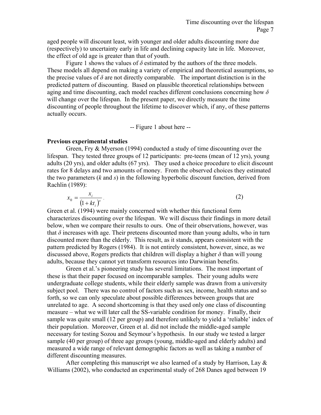aged people will discount least, with younger and older adults discounting more due (respectively) to uncertainty early in life and declining capacity late in life. Moreover, the effect of old age is greater than that of youth.

Figure 1 shows the values of  $\delta$  estimated by the authors of the three models. These models all depend on making a variety of empirical and theoretical assumptions, so the precise values of  $\delta$  are not directly comparable. The important distinction is in the predicted pattern of discounting. Based on plausible theoretical relationships between aging and time discounting, each model reaches different conclusions concerning how *δ* will change over the lifespan. In the present paper, we directly measure the time discounting of people throughout the lifetime to discover which, if any, of these patterns actually occurs.

-- Figure 1 about here --

### **Previous experimental studies**

Green, Fry & Myerson (1994) conducted a study of time discounting over the lifespan. They tested three groups of 12 participants: pre-teens (mean of 12 yrs), young adults (20 yrs), and older adults (67 yrs). They used a choice procedure to elicit discount rates for 8 delays and two amounts of money. From the observed choices they estimated the two parameters (*k* and *s*) in the following hyperbolic discount function, derived from Rachlin (1989):

$$
x_0 = \frac{x_i}{\left(1 + kt_i\right)^s} \tag{2}
$$

Green et al. (1994) were mainly concerned with whether this functional form characterizes discounting over the lifespan. We will discuss their findings in more detail below, when we compare their results to ours. One of their observations, however, was that  $\delta$  increases with age. Their preteens discounted more than young adults, who in turn discounted more than the elderly. This result, as it stands, appears consistent with the pattern predicted by Rogers (1984). It is not entirely consistent, however, since, as we discussed above, Rogers predicts that children will display a higher  $\delta$  than will young adults, because they cannot yet transform resources into Darwinian benefits.

Green et al.'s pioneering study has several limitations. The most important of these is that their paper focused on incomparable samples. Their young adults were undergraduate college students, while their elderly sample was drawn from a university subject pool. There was no control of factors such as sex, income, health status and so forth, so we can only speculate about possible differences between groups that are unrelated to age. A second shortcoming is that they used only one class of discounting measure – what we will later call the SS-variable condition for money. Finally, their sample was quite small (12 per group) and therefore unlikely to yield a 'reliable' index of their population. Moreover, Green et al. did not include the middle-aged sample necessary for testing Sozou and Seymour's hypothesis. In our study we tested a larger sample (40 per group) of three age groups (young, middle-aged and elderly adults) and measured a wide range of relevant demographic factors as well as taking a number of different discounting measures.

After completing this manuscript we also learned of a study by Harrison, Lay  $\&$ Williams (2002), who conducted an experimental study of 268 Danes aged between 19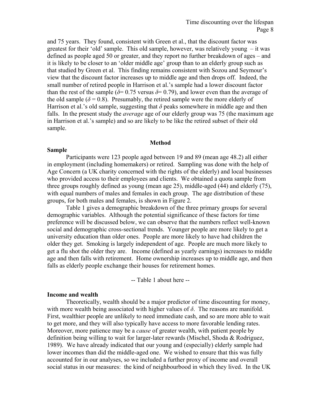and 75 years. They found, consistent with Green et al., that the discount factor was greatest for their 'old' sample. This old sample, however, was relatively young – it was defined as people aged 50 or greater, and they report no further breakdown of ages – and it is likely to be closer to an 'older middle age' group than to an elderly group such as that studied by Green et al. This finding remains consistent with Sozou and Seymour's view that the discount factor increases up to middle age and then drops off. Indeed, the small number of retired people in Harrison et al.'s sample had a lower discount factor than the rest of the sample ( $\delta$ = 0.75 versus  $\delta$ = 0.79), and lower even than the average of the old sample ( $\delta$  = 0.8). Presumably, the retired sample were the more elderly of Harrison et al.'s old sample, suggesting that  $\delta$  peaks somewhere in middle age and then falls. In the present study the *average* age of our elderly group was 75 (the maximum age in Harrison et al.'s sample) and so are likely to be like the retired subset of their old sample.

#### **Method**

### **Sample**

 Participants were 123 people aged between 19 and 89 (mean age 48.2) all either in employment (including homemakers) or retired. Sampling was done with the help of Age Concern (a UK charity concerned with the rights of the elderly) and local businesses who provided access to their employees and clients. We obtained a quota sample from three groups roughly defined as young (mean age 25), middle-aged (44) and elderly (75), with equal numbers of males and females in each group. The age distribution of these groups, for both males and females, is shown in Figure 2.

 Table 1 gives a demographic breakdown of the three primary groups for several demographic variables. Although the potential significance of these factors for time preference will be discussed below, we can observe that the numbers reflect well-known social and demographic cross-sectional trends. Younger people are more likely to get a university education than older ones. People are more likely to have had children the older they get. Smoking is largely independent of age. People are much more likely to get a flu shot the older they are. Income (defined as yearly earnings) increases to middle age and then falls with retirement. Home ownership increases up to middle age, and then falls as elderly people exchange their houses for retirement homes.

-- Table 1 about here --

### **Income and wealth**

 Theoretically, wealth should be a major predictor of time discounting for money, with more wealth being associated with higher values of  $\delta$ . The reasons are manifold. First, wealthier people are unlikely to need immediate cash, and so are more able to wait to get more, and they will also typically have access to more favorable lending rates. Moreover, more patience may be a *cause* of greater wealth, with patient people by definition being willing to wait for larger-later rewards (Mischel, Shoda & Rodriguez, 1989). We have already indicated that our young and (especially) elderly sample had lower incomes than did the middle-aged one. We wished to ensure that this was fully accounted for in our analyses, so we included a further proxy of income and overall social status in our measures: the kind of neighbourbood in which they lived. In the UK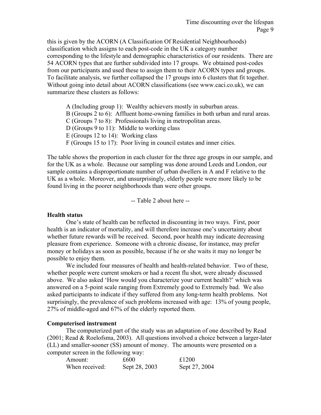this is given by the ACORN (A Classification Of Residential Neighbourhoods) classification which assigns to each post-code in the UK a category number corresponding to the lifestyle and demographic characteristics of our residents. There are 54 ACORN types that are further subdivided into 17 groups. We obtained post-codes from our participants and used these to assign them to their ACORN types and groups. To facilitate analysis, we further collapsed the 17 groups into 6 clusters that fit together. Without going into detail about ACORN classifications (see www.caci.co.uk), we can summarize these clusters as follows:

A (Including group 1): Wealthy achievers mostly in suburban areas.

B (Groups 2 to 6): Affluent home-owning families in both urban and rural areas.

C (Groups 7 to 8): Professionals living in metropolitan areas.

D (Groups 9 to 11): Middle to working class

E (Groups 12 to 14): Working class

F (Groups 15 to 17): Poor living in council estates and inner cities.

The table shows the proportion in each cluster for the three age groups in our sample, and for the UK as a whole. Because our sampling was done around Leeds and London, our sample contains a disproportionate number of urban dwellers in A and F relative to the UK as a whole. Moreover, and unsurprisingly, elderly people were more likely to be found living in the poorer neighborhoods than were other groups.

-- Table 2 about here --

### **Health status**

One's state of health can be reflected in discounting in two ways. First, poor health is an indicator of mortality, and will therefore increase one's uncertainty about whether future rewards will be received. Second, poor health may indicate decreasing pleasure from experience. Someone with a chronic disease, for instance, may prefer money or holidays as soon as possible, because if he or she waits it may no longer be possible to enjoy them.

 We included four measures of health and health-related behavior. Two of these, whether people were current smokers or had a recent flu shot, were already discussed above. We also asked 'How would you characterize your current health?' which was answered on a 5-point scale ranging from Extremely good to Extremely bad. We also asked participants to indicate if they suffered from any long-term health problems. Not surprisingly, the prevalence of such problems increased with age: 13% of young people, 27% of middle-aged and 67% of the elderly reported them.

### **Computerised instrument**

The computerized part of the study was an adaptation of one described by Read (2001; Read & Roelofsma, 2003). All questions involved a choice between a larger-later (LL) and smaller-sooner (SS) amount of money. The amounts were presented on a computer screen in the following way:

| $\frac{1}{2}$  |               |               |
|----------------|---------------|---------------|
| Amount:        | £600          | £1200         |
| When received: | Sept 28, 2003 | Sept 27, 2004 |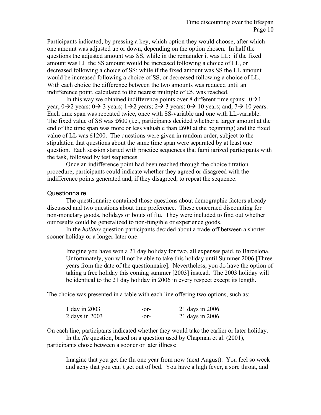Participants indicated, by pressing a key, which option they would choose, after which one amount was adjusted up or down, depending on the option chosen. In half the questions the adjusted amount was SS, while in the remainder it was LL: if the fixed amount was LL the SS amount would be increased following a choice of LL, or decreased following a choice of SS; while if the fixed amount was SS the LL amount would be increased following a choice of SS, or decreased following a choice of LL. With each choice the difference between the two amounts was reduced until an indifference point, calculated to the nearest multiple of £5, was reached.

In this way we obtained indifference points over 8 different time spans:  $0\rightarrow 1$ year;  $0\rightarrow 2$  years;  $0\rightarrow 3$  years;  $1\rightarrow 2$  years;  $2\rightarrow 3$  years;  $0\rightarrow 10$  years; and,  $7\rightarrow 10$  years. Each time span was repeated twice, once with SS-variable and one with LL-variable. The fixed value of SS was £600 (i.e., participants decided whether a larger amount at the end of the time span was more or less valuable than £600 at the beginning) and the fixed value of LL was £1200. The questions were given in random order, subject to the stipulation that questions about the same time span were separated by at least one question. Each session started with practice sequences that familiarized participants with the task, followed by test sequences.

Once an indifference point had been reached through the choice titration procedure, participants could indicate whether they agreed or disagreed with the indifference points generated and, if they disagreed, to repeat the sequence.

### **Questionnaire**

 The questionnaire contained those questions about demographic factors already discussed and two questions about time preference. These concerned discounting for non-monetary goods, holidays or bouts of flu. They were included to find out whether our results could be generalized to non-fungible or experience goods.

 In the *holiday* question participants decided about a trade-off between a shortersooner holiday or a longer-later one:

Imagine you have won a 21 day holiday for two, all expenses paid, to Barcelona. Unfortunately, you will not be able to take this holiday until Summer 2006 [Three years from the date of the questionnaire]. Nevertheless, you do have the option of taking a free holiday this coming summer [2003] instead. The 2003 holiday will be identical to the 21 day holiday in 2006 in every respect except its length.

The choice was presented in a table with each line offering two options, such as:

| 1 day in 2003  | $-0r-$ | 21 days in $2006$ |
|----------------|--------|-------------------|
| 2 days in 2003 | $-0r-$ | 21 days in $2006$ |

On each line, participants indicated whether they would take the earlier or later holiday. In the *flu* question, based on a question used by Chapman et al. (2001),

participants chose between a sooner or later illness:

Imagine that you get the flu one year from now (next August). You feel so week and achy that you can't get out of bed. You have a high fever, a sore throat, and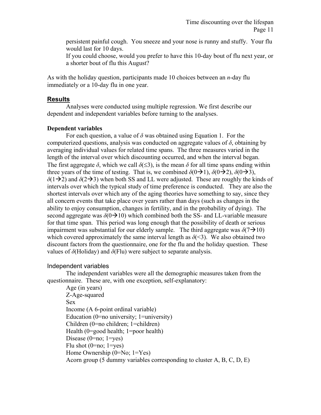persistent painful cough. You sneeze and your nose is runny and stuffy. Your flu would last for 10 days.

If you could choose, would you prefer to have this 10-day bout of flu next year, or a shorter bout of flu this August?

As with the holiday question, participants made 10 choices between an *n*-day flu immediately or a 10-day flu in one year.

### **Results**

 Analyses were conducted using multiple regression. We first describe our dependent and independent variables before turning to the analyses.

### **Dependent variables**

For each question, a value of  $\delta$  was obtained using Equation 1. For the computerized questions, analysis was conducted on aggregate values of  $\delta$ , obtaining by averaging individual values for related time spans. The three measures varied in the length of the interval over which discounting occurred, and when the interval began. The first aggregate  $\delta$ , which we call  $\delta(\leq 3)$ , is the mean  $\delta$  for all time spans ending within three years of the time of testing. That is, we combined  $\delta(0\rightarrow 1)$ ,  $\delta(0\rightarrow 2)$ ,  $\delta(0\rightarrow 3)$ ,  $\delta(1\rightarrow 2)$  and  $\delta(2\rightarrow 3)$  when both SS and LL were adjusted. These are roughly the kinds of intervals over which the typical study of time preference is conducted. They are also the shortest intervals over which any of the aging theories have something to say, since they all concern events that take place over years rather than days (such as changes in the ability to enjoy consumption, changes in fertility, and in the probability of dying). The second aggregate was  $\delta(0\rightarrow 10)$  which combined both the SS- and LL-variable measure for that time span. This period was long enough that the possibility of death or serious impairment was substantial for our elderly sample. The third aggregate was  $\delta(7\rightarrow 10)$ which covered approximately the same interval length as  $\delta(\leq 3)$ . We also obtained two discount factors from the questionnaire, one for the flu and the holiday question. These values of *δ*(Holiday) and *δ*(Flu) were subject to separate analysis.

## Independent variables

 The independent variables were all the demographic measures taken from the questionnaire. These are, with one exception, self-explanatory:

Age (in years) Z-Age-squared Sex Income (A 6-point ordinal variable) Education (0=no university; 1=university) Children (0=no children; 1=children) Health (0=good health; 1=poor health) Disease  $(0=no; 1=yes)$ Flu shot  $(0=no; 1=yes)$ Home Ownership (0=No; 1=Yes) Acorn group (5 dummy variables corresponding to cluster A, B, C, D, E)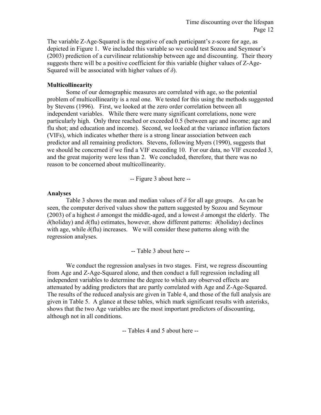The variable Z-Age-Squared is the negative of each participant's z-score for age, as depicted in Figure 1. We included this variable so we could test Sozou and Seymour's (2003) prediction of a curvilinear relationship between age and discounting. Their theory suggests there will be a positive coefficient for this variable (higher values of Z-Age-Squared will be associated with higher values of *δ*).

### **Multicollinearity**

Some of our demographic measures are correlated with age, so the potential problem of multicollinearity is a real one. We tested for this using the methods suggested by Stevens (1996). First, we looked at the zero order correlation between all independent variables. While there were many significant correlations, none were particularly high. Only three reached or exceeded 0.5 (between age and income; age and flu shot; and education and income). Second, we looked at the variance inflation factors (VIFs), which indicates whether there is a strong linear association between each predictor and all remaining predictors. Stevens, following Myers (1990), suggests that we should be concerned if we find a VIF exceeding 10. For our data, no VIF exceeded 3, and the great majority were less than 2. We concluded, therefore, that there was no reason to be concerned about multicollinearity.

-- Figure 3 about here --

#### **Analyses**

Table 3 shows the mean and median values of  $\delta$  for all age groups. As can be seen, the computer derived values show the pattern suggested by Sozou and Seymour (2003) of a highest  $\delta$  amongst the middle-aged, and a lowest  $\delta$  amongst the elderly. The *δ*(holiday) and *δ*(flu) estimates, however, show different patterns: *δ*(holiday) declines with age, while  $\delta$ (flu) increases. We will consider these patterns along with the regression analyses.

-- Table 3 about here --

We conduct the regression analyses in two stages. First, we regress discounting from Age and Z-Age-Squared alone, and then conduct a full regression including all independent variables to determine the degree to which any observed effects are attenuated by adding predictors that are partly correlated with Age and Z-Age-Squared. The results of the reduced analysis are given in Table 4, and those of the full analysis are given in Table 5. A glance at these tables, which mark significant results with asterisks, shows that the two Age variables are the most important predictors of discounting, although not in all conditions.

-- Tables 4 and 5 about here --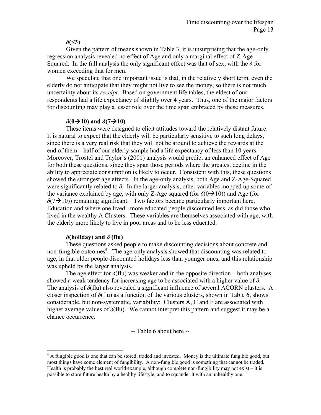### *δ***(**≤**3)**

 Given the pattern of means shown in Table 3, it is unsurprising that the age-only regression analysis revealed no effect of Age and only a marginal effect of Z-Age-Squared. In the full analysis the only significant effect was that of sex, with the *δ* for women exceeding that for men.

 We speculate that one important issue is that, in the relatively short term, even the elderly do not anticipate that they might not live to see the money, so there is not much uncertainty about its *receipt*. Based on government life tables, the eldest of our respondents had a life expectancy of slightly over 4 years. Thus, one of the major factors for discounting may play a lesser role over the time span embraced by these measures.

### $\delta(0, 0, 10)$  and  $\delta(7, 0, 10)$

 These items were designed to elicit attitudes toward the relatively distant future. It is natural to expect that the elderly will be particularly sensitive to such long delays, since there is a very real risk that they will not be around to achieve the rewards at the end of them – half of our elderly sample had a life expectancy of less than 10 years. Moreover, Trostel and Taylor's (2001) analysis would predict an enhanced effect of Age for both these questions, since they span those periods where the greatest decline in the ability to appreciate consumption is likely to occur. Consistent with this, these questions showed the strongest age effects. In the age-only analysis, both Age and Z-Age-Squared were significantly related to  $\delta$ . In the larger analysis, other variables mopped up some of the variance explained by age, with only Z-Age squared (for  $\delta(0\rightarrow 10)$ ) and Age (for  $\delta$ (7 $\rightarrow$ 10)) remaining significant. Two factors became particularly important here, Education and where one lived: more educated people discounted less, as did those who lived in the wealthy A Clusters. These variables are themselves associated with age, with the elderly more likely to live in poor areas and to be less educated.

### $\delta$ **(holiday)** and  $\delta$  (flu)

 $\overline{a}$ 

 These questions asked people to make discounting decisions about concrete and non-fungible outcomes<sup>[4](#page-12-0)</sup>. The age-only analysis showed that discounting was related to age, in that older people discounted holidays less than younger ones, and this relationship was upheld by the larger analysis.

The age effect for  $\delta$ (flu) was weaker and in the opposite direction – both analyses showed a weak tendency for increasing age to be associated with a higher value of *δ*. The analysis of *δ*(flu) also revealed a significant influence of several ACORN clusters. A closer inspection of  $\delta$ (flu) as a function of the various clusters, shown in Table 6, shows considerable, but non-systematic, variability: Clusters A, C and F are associated with higher average values of  $\delta$ (flu). We cannot interpret this pattern and suggest it may be a chance occurrence.

-- Table 6 about here --

<span id="page-12-0"></span><sup>&</sup>lt;sup>4</sup> A fungible good is one that can be stored, traded and invested. Money is the ultimate fungible good, but most things have some element of fungibility. A non-fungible good is something that cannot be traded. Health is probably the best real world example, although complete non-fungibility may not exist – it is possible to store future health by a healthy lifestyle, and to squander it with an unhealthy one.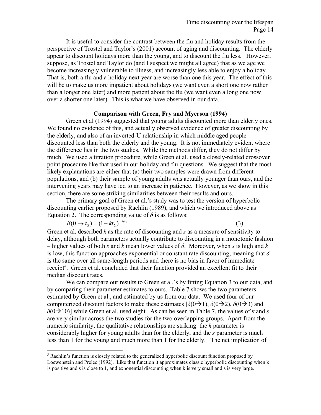It is useful to consider the contrast between the flu and holiday results from the perspective of Trostel and Taylor's (2001) account of aging and discounting. The elderly appear to discount holidays more than the young, and to discount the flu less. However, suppose, as Trostel and Taylor do (and I suspect we might all agree) that as we age we become increasingly vulnerable to illness, and increasingly less able to enjoy a holiday. That is, both a flu and a holiday next year are worse than one this year. The effect of this will be to make us more impatient about holidays (we want even a short one now rather than a longer one later) and more patient about the flu (we want even a long one now over a shorter one later). This is what we have observed in our data.

### **Comparison with Green, Fry and Myerson (1994)**

Green et al (1994) suggested that young adults discounted more than elderly ones. We found no evidence of this, and actually observed evidence of greater discounting by the elderly, and also of an inverted-U relationship in which middle aged people discounted less than both the elderly and the young. It is not immediately evident where the difference lies in the two studies. While the methods differ, they do not differ by much. We used a titration procedure, while Green et al. used a closely-related crossover point procedure like that used in our holiday and flu questions. We suggest that the most likely explanations are either that (a) their two samples were drawn from different populations, and (b) their sample of young adults was actually younger than ours, and the intervening years may have led to an increase in patience. However, as we show in this section, there are some striking similarities between their results and ours.

The primary goal of Green et al.'s study was to test the version of hyperbolic discounting earlier proposed by Rachlin (1989), and which we introduced above as Equation 2. The corresponding value of  $\delta$  is as follows:

$$
\delta(0 \to t_2) = (1 + kt_2)^{-s/t_2} \,. \tag{3}
$$

Green et al. described *k* as the rate of discounting and *s* as a measure of sensitivity to delay, although both parameters actually contribute to discounting in a monotonic fashion – higher values of both *s* and *k* mean lower values of *δ*. Moreover, when *s* is high and *k* is low, this function approaches exponential or constant rate discounting, meaning that *δ* is the same over all same-length periods and there is no bias in favor of immediate receipt<sup>[5](#page-13-0)</sup>. Green et al. concluded that their function provided an excellent fit to their median discount rates.

We can compare our results to Green et al.'s by fitting Equation 3 to our data, and by comparing their parameter estimates to ours. Table 7 shows the two parameters estimated by Green et al., and estimated by us from our data. We used four of our computerized discount factors to make these estimates  $[\delta(0\rightarrow 1), \delta(0\rightarrow 2), \delta(0\rightarrow 3)]$  and  $\delta(0\rightarrow 10)$ ] while Green et al. used eight. As can be seen in Table 7, the values of *k* and *s* are very similar across the two studies for the two overlapping groups. Apart from the numeric similarity, the qualitative relationships are striking: the *k* parameter is considerably higher for young adults than for the elderly, and the *s* parameter is much less than 1 for the young and much more than 1 for the elderly. The net implication of

<span id="page-13-0"></span> <sup>5</sup>  $5$  Rachlin's function is closely related to the generalized hyperbolic discount function proposed by Loewenstein and Prelec (1992). Like that function it approximates classic hyperbolic discounting when k is positive and s is close to 1, and exponential discounting when k is very small and s is very large.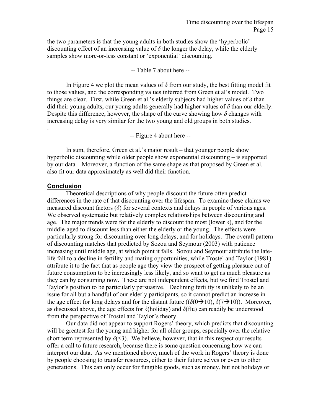the two parameters is that the young adults in both studies show the 'hyperbolic' discounting effect of an increasing value of *δ* the longer the delay, while the elderly samples show more-or-less constant or 'exponential' discounting.

### -- Table 7 about here --

In Figure 4 we plot the mean values of  $\delta$  from our study, the best fitting model fit to those values, and the corresponding values inferred from Green et al's model. Two things are clear. First, while Green et al.'s elderly subjects had higher values of *δ* than did their young adults, our young adults generally had higher values of *δ* than our elderly. Despite this difference, however, the shape of the curve showing how  $\delta$  changes with increasing delay is very similar for the two young and old groups in both studies.

-- Figure 4 about here --

 In sum, therefore, Green et al.'s major result – that younger people show hyperbolic discounting while older people show exponential discounting – is supported by our data. Moreover, a function of the same shape as that proposed by Green et al. also fit our data approximately as well did their function.

### **Conclusion**

.

Theoretical descriptions of why people discount the future often predict differences in the rate of that discounting over the lifespan. To examine these claims we measured discount factors (*δ*) for several contexts and delays in people of various ages. We observed systematic but relatively complex relationships between discounting and age. The major trends were for the elderly to discount the most (lower  $\delta$ ), and for the middle-aged to discount less than either the elderly or the young. The effects were particularly strong for discounting over long delays, and for holidays. The overall pattern of discounting matches that predicted by Sozou and Seymour (2003) with patience increasing until middle age, at which point it falls. Sozou and Seymour attribute the latelife fall to a decline in fertility and mating opportunities, while Trostel and Taylor (1981) attribute it to the fact that as people age they view the prospect of getting pleasure out of future consumption to be increasingly less likely, and so want to get as much pleasure as they can by consuming now. These are not independent effects, but we find Trostel and Taylor's position to be particularly persuasive. Declining fertility is unlikely to be an issue for all but a handful of our elderly participants, so it cannot predict an increase in the age effect for long delays and for the distant future  $((\delta(0\rightarrow 10), \delta(7\rightarrow 10))$ . Moreover, as discussed above, the age effects for *δ*(holiday) and *δ*(flu) can readily be understood from the perspective of Trostel and Taylor's theory.

 Our data did not appear to support Rogers' theory, which predicts that discounting will be greatest for the young and higher for all older groups, especially over the relative short term represented by  $\delta(\leq 3)$ . We believe, however, that in this respect our results offer a call to future research, because there is some question concerning how we can interpret our data. As we mentioned above, much of the work in Rogers' theory is done by people choosing to transfer resources, either to their future selves or even to other generations. This can only occur for fungible goods, such as money, but not holidays or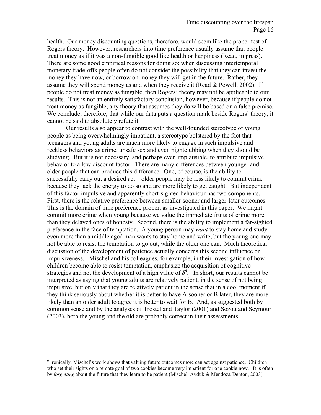health. Our money discounting questions, therefore, would seem like the proper test of Rogers theory. However, researchers into time preference usually assume that people treat money as if it was a non-fungible good like health or happiness (Read, in press). There are some good empirical reasons for doing so: when discussing intertemporal monetary trade-offs people often do not consider the possibility that they can invest the money they have now, or borrow on money they will get in the future. Rather, they assume they will spend money as and when they receive it (Read  $&$  Powell, 2002). If people do not treat money as fungible, then Rogers' theory may not be applicable to our results. This is not an entirely satisfactory conclusion, however, because if people do not treat money as fungible, any theory that assumes they do will be based on a false premise. We conclude, therefore, that while our data puts a question mark beside Rogers' theory, it cannot be said to absolutely refute it.

Our results also appear to contrast with the well-founded stereotype of young people as being overwhelmingly impatient, a stereotype bolstered by the fact that teenagers and young adults are much more likely to engage in such impulsive and reckless behaviors as crime, unsafe sex and even nightclubbing when they should be studying. But it is not necessary, and perhaps even implausible, to attribute impulsive behavior to a low discount factor. There are many differences between younger and older people that can produce this difference. One, of course, is the ability to successfully carry out a desired act – older people may be less likely to commit crime because they lack the energy to do so and are more likely to get caught. But independent of this factor impulsive and apparently short-sighted behaviour has two components. First, there is the relative preference between smaller-sooner and larger-later outcomes. This is the domain of time preference proper, as investigated in this paper. We might commit more crime when young because we value the immediate fruits of crime more than they delayed ones of honesty. Second, there is the ability to implement a far-sighted preference in the face of temptation. A young person may *want* to stay home and study even more than a middle aged man wants to stay home and write, but the young one may not be able to resist the temptation to go out, while the older one can. Much theoretical discussion of the development of patience actually concerns this second influence on impulsiveness. Mischel and his colleagues, for example, in their investigation of how children become able to resist temptation, emphasize the acquisition of cognitive strategies and not the development of a high value of  $\delta^6$  $\delta^6$ . In short, our results cannot be interpreted as saying that young adults are relatively patient, in the sense of not being impulsive, but only that they are relatively patient in the sense that in a cool moment if they think seriously about whether it is better to have A sooner or B later, they are more likely than an older adult to agree it is better to wait for B. And, as suggested both by common sense and by the analyses of Trostel and Taylor (2001) and Sozou and Seymour (2003), both the young and the old are probably correct in their assessments.

l

<span id="page-15-0"></span><sup>&</sup>lt;sup>6</sup> Ironically, Mischel's work shows that valuing future outcomes more can act against patience. Children who set their sights on a remote goal of two cookies become very impatient for one cookie now. It is often by *forgetting* about the future that they learn to be patient (Mischel, Ayduk & Mendoza-Denton, 2003).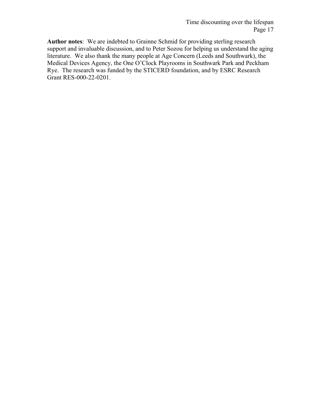**Author notes**: We are indebted to Grainne Schmid for providing sterling research support and invaluable discussion, and to Peter Sozou for helping us understand the aging literature. We also thank the many people at Age Concern (Leeds and Southwark), the Medical Devices Agency, the One O'Clock Playrooms in Southwark Park and Peckham Rye. The research was funded by the STICERD foundation, and by ESRC Research Grant RES-000-22-0201.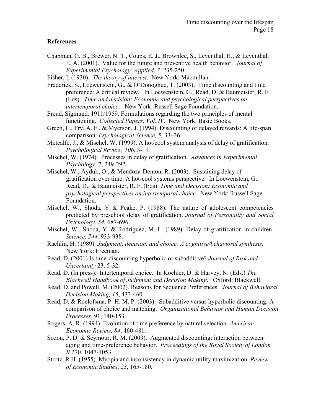### **References**

Chapman, G. B., Brewer, N. T., Coups, E. J., Brownlee, S., Leventhal, H., & Leventhal, E. A. (2001). Value for the future and preventive health behavior. *Journal of Experimental Psychology: Applied*, *7*, 235-250.

Fisher, I, (1930). *The theory of interest*. New York: Macmillan.

- Frederick, S., Loewenstein, G., & O'Donoghue, T. (2003). Time discounting and time preference: A critical review. In Loewenstein, G., Read, D. & Baumeister, R. F. (Eds). *Time and decision; Economic and psychological perspectives on intertemporal choice*. New York: Russell Sage Foundation.
- Freud, Sigmund. 1911/1959. Formulations regarding the two principles of mental functioning. *Collected Papers, Vol. IV.* New York: Basic Books.
- Green, L., Fry, A. F., & Myerson, J. (1994). Discounting of delayed rewards: A life-span comparison. *Psychological Science, 5,* 33–36.

Metcalfe, J., & Mischel, W. (1999). A hot/cool system analysis of delay of gratification. *Psychological Review, 106,* 3-19*.*

- Mischel, W. (1974). Processes in delay of gratification. *Advances in Experimental Psychology*, 7, 249-292.
- Mischel, W., Ayduk, O., & Mendoza-Denton, R. (2003). Sustaining delay of gratification over time: A hot-cool systems perspective. In Loewenstein, G., Read, D., & Baumeister, R. F. (Eds). *Time and Decision: Economic and psychological perspectives on intertemporal choice*. New York: Russell Sage Foundation.
- Mischel, W., Shoda, Y & Peake, P. (1988). The nature of adolescent competencies predicted by preschool delay of gratification. *Journal of Personality and Social Psychology, 54*, 687-696.
- Mischel, W., Shoda, Y. & Rodriguez, M. L. (1989). Delay of gratification in children. *Science, 244,* 933-938.
- Rachlin, H. (1989). *Judgment, decision, and choice: A cognitive/behavioral synthesis.*  New York: Freeman.
- Read, D. (2001) Is time-discounting hyperbolic or subadditive? *Journal of Risk and Uncertainty* 23, 5-32.
- Read, D. (In press). Intertemporal choice. In Koehler, D. & Harvey, N. (Eds.) *The Blackwell Handbook of Judgment and Decision Making*. Oxford: Blackwell.
- Read, D. and Powell, M. (2002). Reasons for Sequence Preferences. *Journal of Behavioral Decision Making, 15*, 433-460*.*
- Read, D. & Roelofsma, P. H. M. P. (2003). Subadditive versus hyperbolic discounting: A comparison of choice and matching. *Organizational Behavior and Human Decision Processes*, 91, 140-153.
- Rogers, A. R. (1994). Evolution of time preference by natural selection. *American Economic Review, 84*, 460-481.
- Sozou, P. D. & Seymour, R. M. (2003). Augmented discounting: interaction between aging and time-preference behavior. *Proceedings of the Royal Society of London B* 270, 1047-1053.
- Strotz, R H. (1955). Myopia and inconsistency in dynamic utility maximization. *Review of Economic Studies*, *23*, 165-180.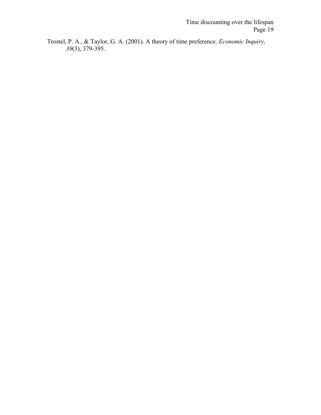Trostel, P. A., & Taylor, G. A. (2001). A theory of time preference. *Economic Inquiry, 39*(3), 379-395.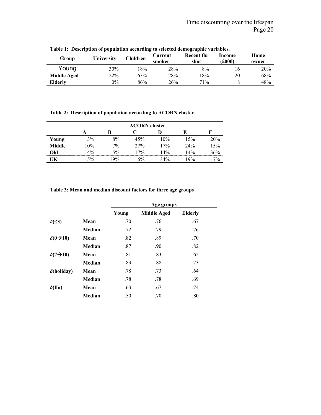| Table 1: Description of population according to selected demographic variables. |            |                 |                   |                           |                  |               |  |  |  |
|---------------------------------------------------------------------------------|------------|-----------------|-------------------|---------------------------|------------------|---------------|--|--|--|
| Group                                                                           | University | <b>Children</b> | Current<br>smoker | <b>Recent flu</b><br>shot | Income<br>(£000) | Home<br>owner |  |  |  |
| Young                                                                           | 30%        | 18%             | 28%               | 8%                        |                  | 20%           |  |  |  |
| <b>Middle Aged</b>                                                              | 22%        | 63%             | 28%               | 18%                       | 20               | 68%           |  |  |  |
| Elderly                                                                         | 0%         | 86%             | 26%               | 71%                       |                  | 48%           |  |  |  |

**Table 1: Description of population according to selected demographic variables.** 

**Table 2: Description of population according to ACORN cluster**.

|               | <b>ACORN</b> cluster |       |     |     |     |       |  |
|---------------|----------------------|-------|-----|-----|-----|-------|--|
|               |                      | В     |     |     |     | F     |  |
| Young         | 3%                   | 8%    | 45% | 10% | 15% | 20%   |  |
| <b>Middle</b> | 10%                  | 7%    | 27% | 17% | 24% | 15%   |  |
| Old           | 14%                  | $5\%$ | 17% | 14% | 14% | 36%   |  |
| UK            | $5\%$                | 19%   | 6%  | 34% | 19% | $7\%$ |  |

**Table 3: Mean and median discount factors for three age groups** 

|                           |        | Age groups |             |                |  |  |  |
|---------------------------|--------|------------|-------------|----------------|--|--|--|
|                           |        | Young      | Middle Aged | <b>Elderly</b> |  |  |  |
| $\delta(\leq 3)$          | Mean   | .70        | .76         | .67            |  |  |  |
|                           | Median | .72        | .79         | .76            |  |  |  |
| $\delta(0\rightarrow 10)$ | Mean   | .82        | .89         | .70            |  |  |  |
|                           | Median | .87        | .90         | .82            |  |  |  |
| $\delta(7\rightarrow 10)$ | Mean   | .81        | .83         | .62            |  |  |  |
|                           | Median | .83        | .88         | .73            |  |  |  |
| $\delta$ (holiday)        | Mean   | .78        | .73         | .64            |  |  |  |
|                           | Median | .78        | .78         | .69            |  |  |  |
| $\delta$ (flu)            | Mean   | .63        | .67         | .74            |  |  |  |
|                           | Median | .50        | .70         | .80            |  |  |  |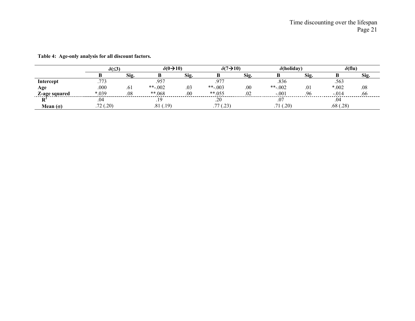|                 | $\delta \leq 3$ |      | $\delta(0\rightarrow 10)$ |      | ծ(7→10)   |      | $\delta$ (holidav) |      | $\delta$ flu |      |
|-----------------|-----------------|------|---------------------------|------|-----------|------|--------------------|------|--------------|------|
|                 |                 | Sig. |                           | Sig. |           | Sig. |                    | Sig. |              | Sig. |
| Intercept       | 773             |      | .957                      |      |           |      | .836               |      | .563         |      |
| Age             | .000            | .01  | ** $-002$                 | .03  | $***-003$ | .00  | $***-002$          | .01  | $*002$       | .08  |
| Z-age squared   | $*039$          | 08   | $***.068$                 | .00  | $***.055$ | 02   | $-.001$            |      | $-.014$      | .66  |
|                 | .04             |      |                           |      |           |      |                    |      | .04          |      |
| Mean $(\sigma)$ | .72 (.20)       |      | .81<br>$.19^{\circ}$      |      | (.23)     |      | .71(.20)           |      | .68(.28)     |      |

**Table 4: Age-only analysis for all discount factors.**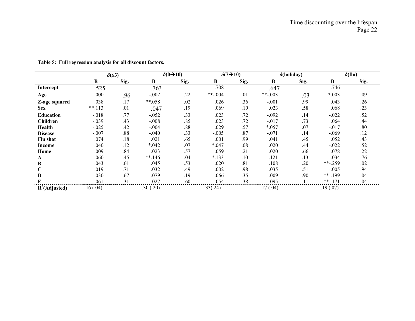|                  |           | $\delta(\leq 3)$ |           | $\delta(0\rightarrow 10)$ | $\delta(7\rightarrow 10)$ |      |           | $\delta$ (holiday) |           | $\delta$ (flu) |
|------------------|-----------|------------------|-----------|---------------------------|---------------------------|------|-----------|--------------------|-----------|----------------|
|                  | B         | Sig.             | B         | Sig.                      | В                         | Sig. | B         | Sig.               | B         | Sig.           |
| Intercept        | .525      |                  | .763      |                           | .708                      |      | .647      |                    | .746      |                |
| Age              | .000      | .96              | $-.002$   | .22                       | $***-0.04$                | .01  | **-.003   | .03                | $*003$    | .09            |
| Z-age squared    | .038      | .17              | $***.058$ | .02                       | .026                      | .36  | $-.001$   | .99                | .043      | .26            |
| <b>Sex</b>       | $***.113$ | .01              | .047      | .19                       | .069                      | .10  | .023      | .58                | .068      | .23            |
| <b>Education</b> | $-.018$   | .77              | $-.052$   | .33                       | .023                      | .72  | $-.092$   | .14                | $-.022$   | .52            |
| <b>Children</b>  | $-.039$   | .43              | $-.008$   | .85                       | .023                      | .72  | $-.017$   | .73                | .064      | .44            |
| Health           | $-.025$   | .42              | $-.004$   | .88                       | .029                      | .57  | $*057$    | .07                | $-.017$   | .80            |
| <b>Disease</b>   | $-.007$   | .88              | $-.040$   | .33                       | $-.005$                   | .87  | $-.071$   | .14                | $-.069$   | .12            |
| Flu shot         | .074      | .18              | .021      | .65                       | .001                      | .99  | .041      | .45                | .052      | .43            |
| <b>Income</b>    | .040      | .12              | $*042$    | .07                       | $*047$                    | .08  | .020      | .44                | $-.022$   | .52            |
| Home             | .009      | .84              | .023      | .57                       | .059                      | .21  | .020      | .66                | $-.078$   | .22            |
| A                | .060      | .45              | $***.146$ | .04                       | $*133$                    | .10  | .121      | .13                | $-.034$   | .76            |
| B                | .043      | .61              | .045      | .53                       | .020                      | .81  | .108      | .20                | $***-259$ | .02            |
| $\mathbf C$      | .019      | .71              | .032      | .49                       | .002                      | .98  | .035      | .51                | $-.005$   | .94            |
| D                | .030      | .67              | .079      | .19                       | .066                      | .35  | .009      | .90                | $***-199$ | .04            |
|                  | .061      | .31              | .027      | .60                       | .054                      | .38  | .095      | .11                | $***-171$ | .04            |
| $R^2$ (Adjusted) | .16(.04)  |                  | .30(.20)  |                           | .33(.24)                  |      | .17(0.04) |                    | .19(0.07) |                |

**Table 5: Full regression analysis for all discount factors.**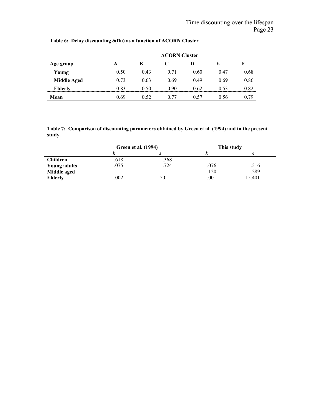|                    | <b>ACORN Cluster</b> |      |      |      |      |      |  |  |
|--------------------|----------------------|------|------|------|------|------|--|--|
| Age group          | A                    | В    |      | D    | Е    | F    |  |  |
| Young              | 0.50                 | 0.43 | 0.71 | 0.60 | 0.47 | 0.68 |  |  |
| <b>Middle Aged</b> | 0.73                 | 0.63 | 0.69 | 0.49 | 0.69 | 0.86 |  |  |
| <b>Elderly</b>     | 0.83                 | 0.50 | 0.90 | 0.62 | 0.53 | 0.82 |  |  |
| Mean               | 0.69                 | 0.52 | 0.77 | 0.57 | 0.56 | 0.79 |  |  |

**Table 6: Delay discounting** *δ***(flu) as a function of ACORN Cluster** 

**Table 7: Comparison of discounting parameters obtained by Green et al. (1994) and in the present study.** 

|                     | <b>Green et al. (1994)</b> |      | This study |        |  |
|---------------------|----------------------------|------|------------|--------|--|
|                     |                            |      |            |        |  |
| <b>Children</b>     | .618                       | .368 |            |        |  |
| <b>Young adults</b> | .075                       | .724 | .076       | .516   |  |
| Middle aged         |                            |      | .120       | .289   |  |
| <b>Elderly</b>      | 002                        | 5.01 | .001       | 15.401 |  |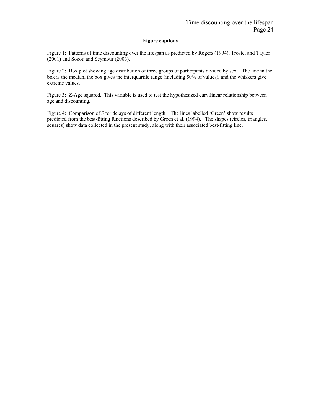#### **Figure captions**

Figure 1: Patterns of time discounting over the lifespan as predicted by Rogers (1994), Trostel and Taylor (2001) and Sozou and Seymour (2003).

Figure 2: Box plot showing age distribution of three groups of participants divided by sex. The line in the box is the median, the box gives the interquartile range (including 50% of values), and the whiskers give extreme values.

Figure 3: Z-Age squared. This variable is used to test the hypothesized curvilinear relationship between age and discounting.

Figure 4: Comparison of *δ* for delays of different length. The lines labelled 'Green' show results predicted from the best-fitting functions described by Green et al. (1994). The shapes (circles, triangles, squares) show data collected in the present study, along with their associated best-fitting line.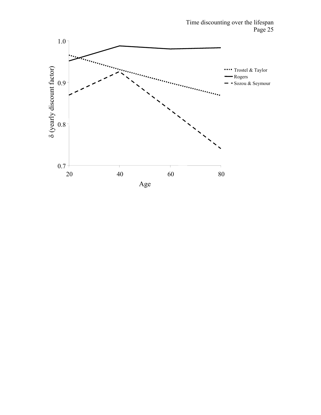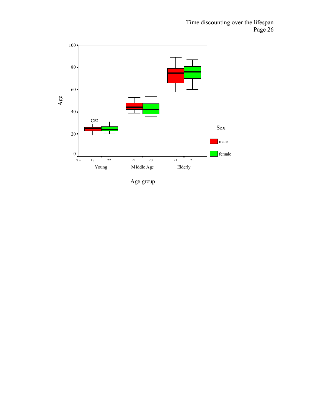

Age group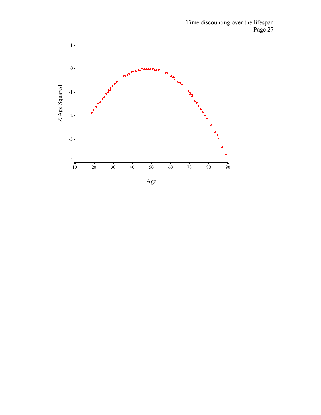

Age